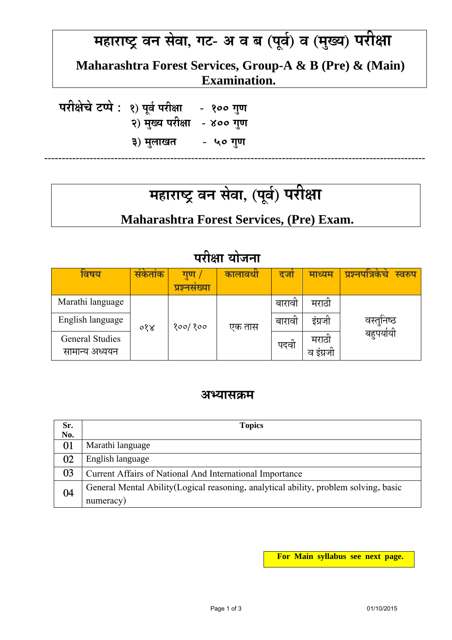#### **महाराÍटर् वन सेवा, गट- अ व ब (पव र्) व (मख्य ु ) परीक्षा ू**

 **Maharashtra Forest Services, Group-A & B (Pre) & (Main) Examination.** 

 **परीक्षेचेटÃपे : 1) पवू र् परीक्षा - 100 गणु 2) मख्यु परीक्षा - 400 गणु 3) मलाखत ु - 50 गणु**

#### **महाराÍटर् वन सेवा, (पव र्) परीक्षा ू**

**-------------------------------------------------------------------------------------------------------------**

### **Maharashtra Forest Services, (Pre) Exam.**

| ावषय                   | सकताक | गुण<br>प्रश्नसंख्या | कालावधा | दजा    | माध्यम   | प्रश्नपात्रकच<br>स्वरुप |
|------------------------|-------|---------------------|---------|--------|----------|-------------------------|
| Marathi language       | ०१४   | १००/ १००            | एक तास  | बारावा | मराठा    |                         |
| English language       |       |                     |         | बारावा | इग्रजा   | वस्तुनिष्ठ              |
| <b>General Studies</b> |       |                     |         | पदवा   | मराठा    | बहुपयोयी                |
| सामान्य अध्ययन         |       |                     |         |        | व इग्रजा |                         |

### **परीक्षा योजना**

#### **अÆयासकर्म**

| Sr. | <b>Topics</b>                                                                         |
|-----|---------------------------------------------------------------------------------------|
| No. |                                                                                       |
| 01  | Marathi language                                                                      |
| 02  | English language                                                                      |
| 03  | Current Affairs of National And International Importance                              |
| 04  | General Mental Ability (Logical reasoning, analytical ability, problem solving, basic |
|     | numeracy)                                                                             |

**For Main syllabus see next page.**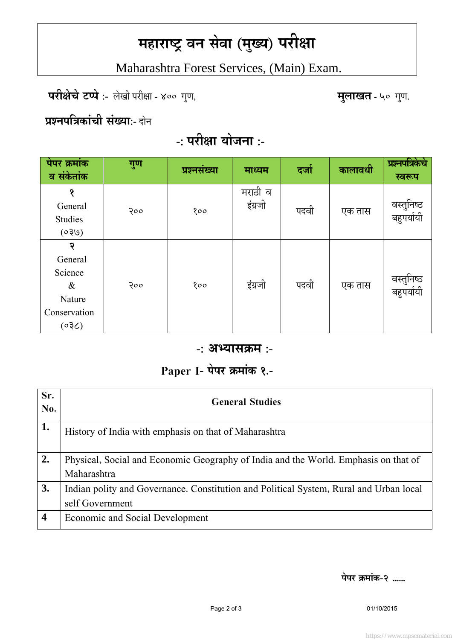# **महाराÍटर् वन सेवा (मख्य ु ) परीक्षा**

Maharashtra Forest Services, (Main) Exam.

 **परीक्षेचेटÃपे :-** लेखी परीक्षा - 400 गणु , **मलाखत ु** - 50 गणु .

 **ĢÌनपितर्कांची संख्या:-** दोन

## **-: परीक्षा योजना :-**

| पेपर क्रमांक<br>व संकेतांक                                         | गुण | प्रश्नसंख्या | माध्यम             | दजो  | कालावधी | प्रश्नपत्रिकेचे<br>स्वरूप |
|--------------------------------------------------------------------|-----|--------------|--------------------|------|---------|---------------------------|
| १<br>General<br>Studies<br>(050)                                   | २०० | 800          | मराठी व<br>इंग्रजी | पदवी | एक तास  | वस्तुनिष्ठ<br>बहुपर्यायी  |
| २<br>General<br>Science<br>$\&$<br>Nature<br>Conservation<br>(550) | २०० | 800          | इंग्रजी            | पदवी | एक तास  | वस्तुनिष्ठ<br>बहुपर्यायी  |

#### **-: अÆयासकर्म :-**

### **Paper I- पेपर कर्मांक 1.-**

| <b>General Studies</b>                                                                 |
|----------------------------------------------------------------------------------------|
| History of India with emphasis on that of Maharashtra                                  |
| Physical, Social and Economic Geography of India and the World. Emphasis on that of    |
| Maharashtra                                                                            |
| Indian polity and Governance. Constitution and Political System, Rural and Urban local |
| self Government                                                                        |
| <b>Economic and Social Development</b>                                                 |
|                                                                                        |

**पेपर कर्मांक-2 ......**